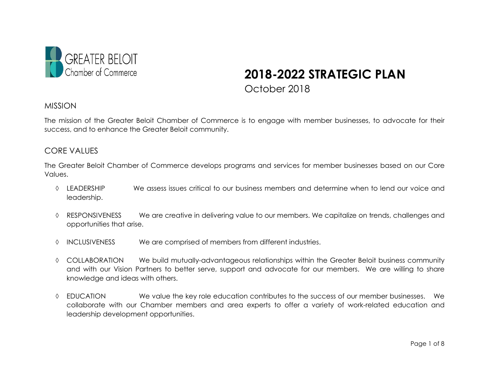

# **2018-2022 STRATEGIC PLAN** October 2018

#### MISSION

The mission of the Greater Beloit Chamber of Commerce is to engage with member businesses, to advocate for their success, and to enhance the Greater Beloit community.

#### CORE VALUES

The Greater Beloit Chamber of Commerce develops programs and services for member businesses based on our Core Values.

- ◊ LEADERSHIP We assess issues critical to our business members and determine when to lend our voice and leadership.
- ◊ RESPONSIVENESS We are creative in delivering value to our members. We capitalize on trends, challenges and opportunities that arise.
- ◊ INCLUSIVENESS We are comprised of members from different industries.
- ◊ COLLABORATION We build mutually-advantageous relationships within the Greater Beloit business community and with our Vision Partners to better serve, support and advocate for our members. We are willing to share knowledge and ideas with others.
- ◊ EDUCATION We value the key role education contributes to the success of our member businesses. We collaborate with our Chamber members and area experts to offer a variety of work-related education and leadership development opportunities.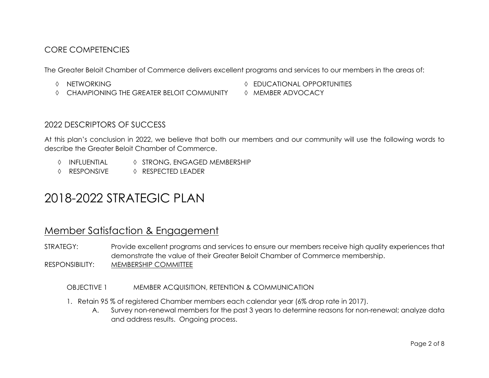# CORE COMPETENCIES

The Greater Beloit Chamber of Commerce delivers excellent programs and services to our members in the areas of:

- 
- ◊ CHAMPIONING THE GREATER BELOIT COMMUNITY ◊ MEMBER ADVOCACY
- ◊ NETWORKING ◊ EDUCATIONAL OPPORTUNITIES
	-

## 2022 DESCRIPTORS OF SUCCESS

At this plan's conclusion in 2022, we believe that both our members and our community will use the following words to describe the Greater Beloit Chamber of Commerce.

- ◊ INFLUENTIAL ◊ STRONG, ENGAGED MEMBERSHIP
- ◊ RESPONSIVE ◊ RESPECTED LEADER

# 2018-2022 STRATEGIC PLAN

# Member Satisfaction & Engagement

STRATEGY: Provide excellent programs and services to ensure our members receive high quality experiences that demonstrate the value of their Greater Beloit Chamber of Commerce membership.

RESPONSIBILITY: MEMBERSHIP COMMITTEE

OBJECTIVE 1 MEMBER ACQUISITION, RETENTION & COMMUNICATION

- 1. Retain 95 % of registered Chamber members each calendar year (6% drop rate in 2017).
	- A. Survey non-renewal members for the past 3 years to determine reasons for non-renewal; analyze data and address results. Ongoing process.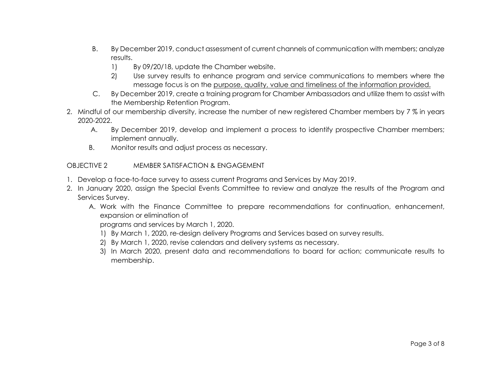- B. By December 2019, conduct assessment of current channels of communication with members; analyze results.
	- 1) By 09/20/18, update the Chamber website.
	- 2) Use survey results to enhance program and service communications to members where the message focus is on the purpose, quality, value and timeliness of the information provided.
- C. By December 2019, create a training program for Chamber Ambassadors and utilize them to assist with the Membership Retention Program.
- 2. Mindful of our membership diversity, increase the number of new registered Chamber members by 7 % in years 2020-2022.
	- A. By December 2019, develop and implement a process to identify prospective Chamber members; implement annually.
	- B. Monitor results and adjust process as necessary.

#### OBJECTIVE 2 MEMBER SATISFACTION & ENGAGEMENT

- 1. Develop a face-to-face survey to assess current Programs and Services by May 2019.
- 2. In January 2020, assign the Special Events Committee to review and analyze the results of the Program and Services Survey.
	- A. Work with the Finance Committee to prepare recommendations for continuation, enhancement, expansion or elimination of

programs and services by March 1, 2020.

- 1) By March 1, 2020, re-design delivery Programs and Services based on survey results.
- 2) By March 1, 2020, revise calendars and delivery systems as necessary.
- 3) In March 2020, present data and recommendations to board for action; communicate results to membership.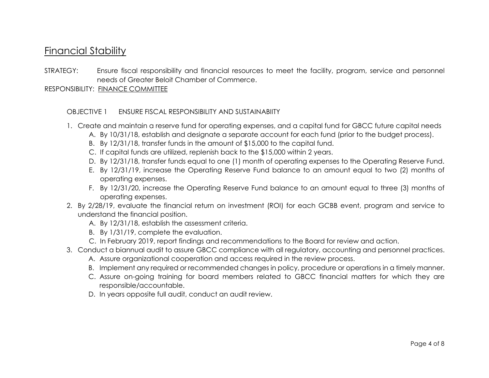# Financial Stability

STRATEGY: Ensure fiscal responsibility and financial resources to meet the facility, program, service and personnel needs of Greater Beloit Chamber of Commerce.

RESPONSIBILITY: FINANCE COMMITTEE

#### OBJECTIVE 1 ENSURE FISCAL RESPONSIBILITY AND SUSTAINABIITY

- 1. Create and maintain a reserve fund for operating expenses, and a capital fund for GBCC future capital needs
	- A. By 10/31/18, establish and designate a separate account for each fund (prior to the budget process).
	- B. By 12/31/18, transfer funds in the amount of \$15,000 to the capital fund.
	- C. If capital funds are utilized, replenish back to the \$15,000 within 2 years.
	- D. By 12/31/18, transfer funds equal to one (1) month of operating expenses to the Operating Reserve Fund.
	- E. By 12/31/19, increase the Operating Reserve Fund balance to an amount equal to two (2) months of operating expenses.
	- F. By 12/31/20, increase the Operating Reserve Fund balance to an amount equal to three (3) months of operating expenses.
- 2. By 2/28/19, evaluate the financial return on investment (ROI) for each GCBB event, program and service to understand the financial position.
	- A. By 12/31/18, establish the assessment criteria.
	- B. By 1/31/19, complete the evaluation.
	- C. In February 2019, report findings and recommendations to the Board for review and action.
- 3. Conduct a biannual audit to assure GBCC compliance with all regulatory, accounting and personnel practices.
	- A. Assure organizational cooperation and access required in the review process.
	- B. Implement any required or recommended changes in policy, procedure or operations in a timely manner.
	- C. Assure on-going training for board members related to GBCC financial matters for which they are responsible/accountable.
	- D. In years opposite full audit, conduct an audit review.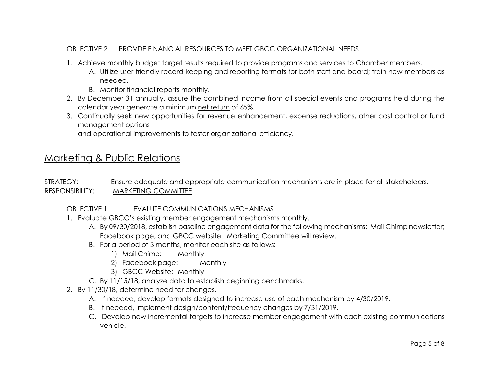### OBJECTIVE 2 PROVDE FINANCIAL RESOURCES TO MEET GBCC ORGANIZATIONAL NEEDS

- 1. Achieve monthly budget target results required to provide programs and services to Chamber members.
	- A. Utilize user-friendly record-keeping and reporting formats for both staff and board; train new members as needed.
	- B. Monitor financial reports monthly.
- 2. By December 31 annually, assure the combined income from all special events and programs held during the calendar year generate a minimum net return of 65%.
- 3. Continually seek new opportunities for revenue enhancement, expense reductions, other cost control or fund management options

and operational improvements to foster organizational efficiency.

# Marketing & Public Relations

STRATEGY: Ensure adequate and appropriate communication mechanisms are in place for all stakeholders. RESPONSIBILITY: MARKETING COMMITTEE

### OBJECTIVE 1 EVALUTE COMMUNICATIONS MECHANISMS

- 1. Evaluate GBCC's existing member engagement mechanisms monthly.
	- A. By 09/30/2018, establish baseline engagement data for the following mechanisms: Mail Chimp newsletter; Facebook page; and GBCC website. Marketing Committee will review.
	- B. For a period of 3 months, monitor each site as follows:
		- 1) Mail Chimp: Monthly
		- 2) Facebook page: Monthly
		- 3) GBCC Website: Monthly
	- C. By 11/15/18, analyze data to establish beginning benchmarks.
- 2. By 11/30/18, determine need for changes.
	- A. If needed, develop formats designed to increase use of each mechanism by 4/30/2019.
	- B. If needed, implement design/content/frequency changes by 7/31/2019.
	- C. Develop new incremental targets to increase member engagement with each existing communications vehicle.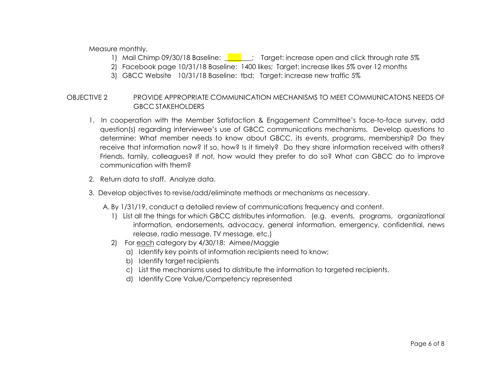Measure monthly.

- 1) Mail Chimp 09/30/18 Baseline:  $\begin{bmatrix} 1 \\ 2 \end{bmatrix}$ ; Target: increase open and click through rate 5%
- 2) Facebook page 10/31/18 Baseline: 1400 likes; Target: increase likes 5% over 12 months
- 3) GBCC Website 10/31/18 Baseline: tbd; Target: increase new traffic 5%

#### OBJECTIVE 2 PROVIDE APPROPRIATE COMMUNICATION MECHANISMS TO MEET COMMUNICATONS NEEDS OF GBCC STAKEHOLDERS

- 1. In cooperation with the Member Satisfaction & Engagement Committee's face-to-face survey, add question(s) regarding interviewee's use of GBCC communications mechanisms. Develop questions to determine: What member needs to know about GBCC, its events, programs, membership? Do they receive that information now? If so, how? Is it timely? Do they share information received with others? Friends, family, colleagues? If not, how would they prefer to do so? What can GBCC do to improve communication with them?
- 2. Return data to staff. Analyze data.
- 3. Develop objectives to revise/add/eliminate methods or mechanisms as necessary.
	- A. By 1/31/19, conduct a detailed review of communications frequency and content.
		- 1) List all the things for which GBCC distributes information. (e.g. events, programs, organizational information, endorsements, advocacy, general information, emergency, confidential, news release, radio message, TV message, etc.)
		- 2) For each category by 4/30/18: Aimee/Maggie
			- a) Identify key points of information recipients need to know;
			- b) Identify target recipients
			- c) List the mechanisms used to distribute the information to targeted recipients.
			- d) Identify Core Value/Competency represented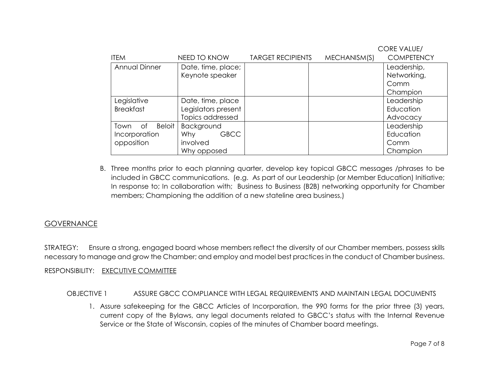|                          |                           |                          |              | <b>CORE VALUE/</b> |  |
|--------------------------|---------------------------|--------------------------|--------------|--------------------|--|
| <b>ITEM</b>              | NEED TO KNOW              | <b>TARGET RECIPIENTS</b> | MECHANISM(S) | <b>COMPETENCY</b>  |  |
| <b>Annual Dinner</b>     | Date, time, place;        |                          |              | Leadership,        |  |
|                          | Keynote speaker           |                          |              | Networking,        |  |
|                          |                           |                          |              | Comm               |  |
|                          |                           |                          |              | Champion           |  |
| Legislative              | Date, time, place         |                          |              | Leadership         |  |
| <b>Breakfast</b>         | Legislators present       |                          |              | Education          |  |
|                          | Topics addressed          |                          |              | Advocacy           |  |
| Town of<br><b>Beloit</b> | Background                |                          |              | Leadership         |  |
| Incorporation            | <b>GBCC</b><br><b>Why</b> |                          |              | Education          |  |
| opposition               | involved                  |                          |              | Comm               |  |
|                          | Why opposed               |                          |              | Champion           |  |

B. Three months prior to each planning quarter, develop key topical GBCC messages /phrases to be included in GBCC communications. (e.g. As part of our Leadership (or Member Education) Initiative; In response to; In collaboration with; Business to Business (B2B) networking opportunity for Chamber members; Championing the addition of a new stateline area business,)

# **GOVERNANCE**

STRATEGY: Ensure a strong, engaged board whose members reflect the diversity of our Chamber members, possess skills necessary to manage and grow the Chamber; and employ and model best practices in the conduct of Chamber business.

#### RESPONSIBILITY: EXECUTIVE COMMITTEE

#### OBJECTIVE 1 ASSURE GBCC COMPLIANCE WITH LEGAL REQUIREMENTS AND MAINTAIN LEGAL DOCUMENTS

1. Assure safekeeping for the GBCC Articles of Incorporation, the 990 forms for the prior three (3) years, current copy of the Bylaws, any legal documents related to GBCC's status with the Internal Revenue Service or the State of Wisconsin, copies of the minutes of Chamber board meetings.